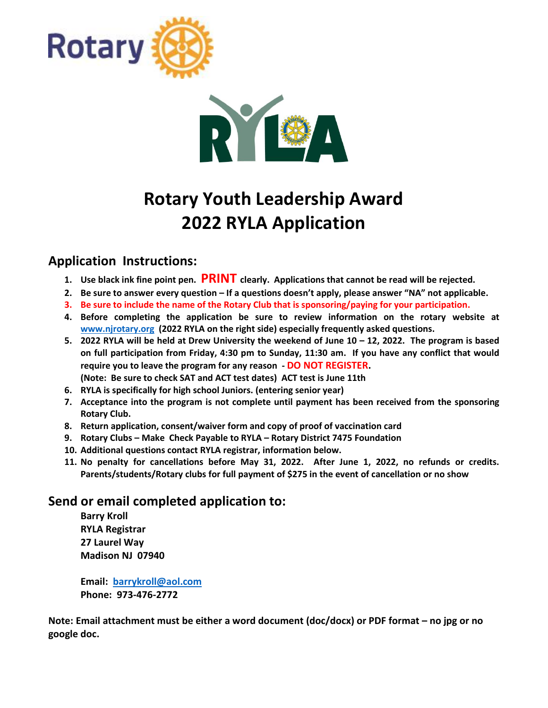



# **Rotary Youth Leadership Award 2022 RYLA Application**

## **Application Instructions:**

- **1. Use black ink fine point pen. PRINT clearly. Applications that cannot be read will be rejected.**
- **2. Be sure to answer every question – If a questions doesn't apply, please answer "NA" not applicable.**
- **3. Be sure to include the name of the Rotary Club that is sponsoring/paying for your participation.**
- **4. Before completing the application be sure to review information on the rotary website at [www.njrotary.org](http://www.njrotary.org/) (2022 RYLA on the right side) especially frequently asked questions.**
- **5. 2022 RYLA will be held at Drew University the weekend of June 10 – 12, 2022. The program is based on full participation from Friday, 4:30 pm to Sunday, 11:30 am. If you have any conflict that would require you to leave the program for any reason - DO NOT REGISTER. (Note: Be sure to check SAT and ACT test dates) ACT test is June 11th**
- **6. RYLA is specifically for high school Juniors. (entering senior year)**
- **7. Acceptance into the program is not complete until payment has been received from the sponsoring Rotary Club.**
- **8. Return application, consent/waiver form and copy of proof of vaccination card**
- **9. Rotary Clubs – Make Check Payable to RYLA – Rotary District 7475 Foundation**
- **10. Additional questions contact RYLA registrar, information below.**
- **11. No penalty for cancellations before May 31, 2022. After June 1, 2022, no refunds or credits. Parents/students/Rotary clubs for full payment of \$275 in the event of cancellation or no show**

#### **Send or email completed application to:**

**Barry Kroll RYLA Registrar 27 Laurel Way Madison NJ 07940**

**Email: [barrykroll@aol.com](mailto:barrykroll@aol.com) Phone: 973-476-2772**

**Note: Email attachment must be either a word document (doc/docx) or PDF format – no jpg or no google doc.**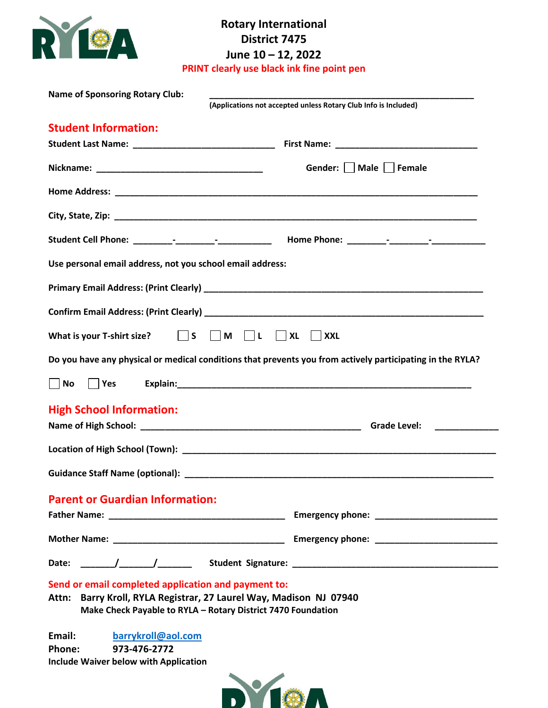

# **Rotary International District 7475 June 10 – 12, 2022**

**PRINT clearly use black ink fine point pen**

| <b>Name of Sponsoring Rotary Club:</b>                                                                 | (Applications not accepted unless Rotary Club Info is Included)                                                                                                                                                                                                                                                                        |
|--------------------------------------------------------------------------------------------------------|----------------------------------------------------------------------------------------------------------------------------------------------------------------------------------------------------------------------------------------------------------------------------------------------------------------------------------------|
| <b>Student Information:</b>                                                                            |                                                                                                                                                                                                                                                                                                                                        |
|                                                                                                        |                                                                                                                                                                                                                                                                                                                                        |
|                                                                                                        | Gender:     Male     Female                                                                                                                                                                                                                                                                                                            |
|                                                                                                        |                                                                                                                                                                                                                                                                                                                                        |
|                                                                                                        |                                                                                                                                                                                                                                                                                                                                        |
|                                                                                                        |                                                                                                                                                                                                                                                                                                                                        |
| Use personal email address, not you school email address:                                              |                                                                                                                                                                                                                                                                                                                                        |
|                                                                                                        |                                                                                                                                                                                                                                                                                                                                        |
|                                                                                                        |                                                                                                                                                                                                                                                                                                                                        |
| What is your T-shirt size? $\Box$ S                                                                    | $\blacksquare$ M $\blacksquare$ L $\blacksquare$ XL<br><b>XXL</b>                                                                                                                                                                                                                                                                      |
|                                                                                                        | Do you have any physical or medical conditions that prevents you from actively participating in the RYLA?                                                                                                                                                                                                                              |
| $ $ No<br>$ $ $ $ Yes                                                                                  |                                                                                                                                                                                                                                                                                                                                        |
| <b>High School Information:</b>                                                                        | <b>Grade Level:</b><br>$\begin{array}{cccccccccc} \hline \end{array} \hspace{2em} \begin{array}{cccccccccc} \hline \end{array} \hspace{2em} \begin{array}{cccccccccc} \hline \end{array} \hspace{2em} \begin{array}{cccccccccc} \hline \end{array} \hspace{2em} \begin{array}{cccccccccc} \hline \end{array} \hspace{2em} \end{array}$ |
|                                                                                                        |                                                                                                                                                                                                                                                                                                                                        |
|                                                                                                        |                                                                                                                                                                                                                                                                                                                                        |
| <b>Parent or Guardian Information:</b>                                                                 |                                                                                                                                                                                                                                                                                                                                        |
|                                                                                                        |                                                                                                                                                                                                                                                                                                                                        |
|                                                                                                        |                                                                                                                                                                                                                                                                                                                                        |
|                                                                                                        |                                                                                                                                                                                                                                                                                                                                        |
| Send or email completed application and payment to:                                                    | Attn: Barry Kroll, RYLA Registrar, 27 Laurel Way, Madison NJ 07940<br>Make Check Payable to RYLA - Rotary District 7470 Foundation                                                                                                                                                                                                     |
| Email:<br>barrykroll@aol.com<br>973-476-2772<br>Phone:<br><b>Include Waiver below with Application</b> |                                                                                                                                                                                                                                                                                                                                        |
|                                                                                                        |                                                                                                                                                                                                                                                                                                                                        |